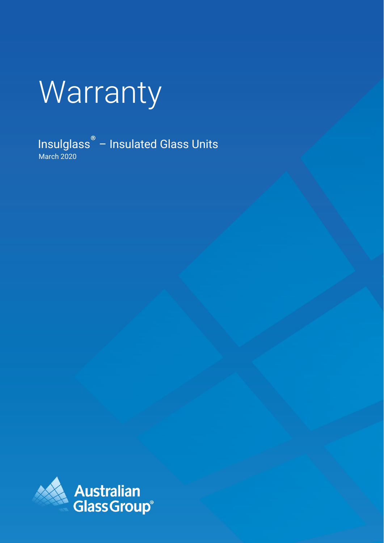# **Warranty**

March 2020 Insulglass® – Insulated Glass Units

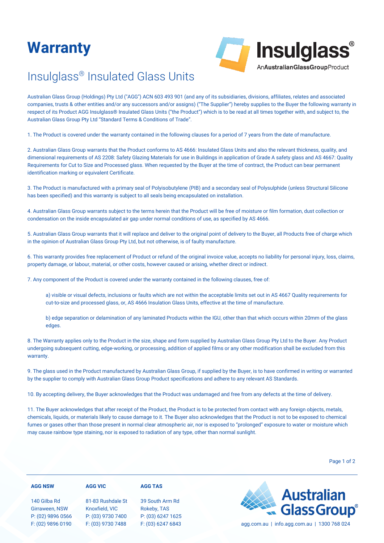## **Warranty**



## [Insulglass®](https://agg.com.au/products/insulglass/) Insulated Glass Units

Australian Glass Group (Holdings) Pty Ltd ("AGG") ACN 603 493 901 (and any of its subsidiaries, divisions, affiliates, relates and associated companies, trusts & other entities and/or any successors and/or assigns) ("The Supplier") hereby supplies to the Buyer the following warranty in respect of its Product AGG [Insulglass® I](https://agg.com.au/products/insulglass/)nsulated Glass Units ("the Product") which is to be read at all times together with, and subject to, the Australian Glass Group Pty Ltd "Standard Terms & Conditions of Trade".

1. The Product is covered under the warranty contained in the following clauses for a period of 7 years from the date of manufacture.

2. Australian Glass Group warrants that the Product conforms to AS 4666: Insulated Glass Units and also the relevant thickness, quality, and dimensional requirements of AS 2208: Safety Glazing Materials for use in Buildings in application of Grade A safety glass and AS 4667: Quality Requirements for Cut to Size and Processed glass. When requested by the Buyer at the time of contract, the Product can bear permanent identification marking or equivalent Certificate.

3. The Product is manufactured with a primary seal of Polyisobutylene (PIB) and a secondary seal of Polysulphide (unless Structural Silicone has been specified) and this warranty is subject to all seals being encapsulated on installation.

4. Australian Glass Group warrants subject to the terms herein that the Product will be free of moisture or film formation, dust collection or condensation on the inside encapsulated air gap under normal conditions of use, as specified by AS 4666.

5. Australian Glass Group warrants that it will replace and deliver to the original point of delivery to the Buyer, all Products free of charge which in the opinion of Australian Glass Group Pty Ltd, but not otherwise, is of faulty manufacture.

6. This warranty provides free replacement of Product or refund of the original invoice value, accepts no liability for personal injury, loss, claims, property damage, or labour, material, or other costs, however caused or arising, whether direct or indirect.

7. Any component of the Product is covered under the warranty contained in the following clauses, free of:

a) visible or visual defects, inclusions or faults which are not within the acceptable limits set out in AS 4667 Quality requirements for cut-to-size and processed glass, or, AS 4666 Insulation Glass Units, effective at the time of manufacture.

b) edge separation or delamination of any laminated Products within the IGU, other than that which occurs within 20mm of the glass edges.

8. The Warranty applies only to the Product in the size, shape and form supplied by Australian Glass Group Pty Ltd to the Buyer. Any Product undergoing subsequent cutting, edge-working, or processing, addition of applied films or any other modification shall be excluded from this warranty.

9. The glass used in the Product manufactured by Australian Glass Group, if supplied by the Buyer, is to have confirmed in writing or warranted by the supplier to comply with Australian Glass Group Product specifications and adhere to any relevant AS Standards.

10. By accepting delivery, the Buyer acknowledges that the Product was undamaged and free from any defects at the time of delivery.

11. The Buyer acknowledges that after receipt of the Product, the Product is to be protected from contact with any foreign objects, metals, chemicals, liquids, or materials likely to cause damage to it. The Buyer also acknowledges that the Product is not to be exposed to chemical fumes or gases other than those present in normal clear atmospheric air, nor is exposed to "prolonged" exposure to water or moisture which may cause rainbow type staining, nor is exposed to radiation of any type, other than normal sunlight.

Page 1 of 2

#### **AGG NSW**

#### **AGG VIC**

140 Gilba Rd Girraween, NSW P: (02) 9896 0566 F: (02) 9896 0190

### 81-83 Rushdale St Knoxfield, VIC P: (03) 9730 7400 F: (03) 9730 7488

39 South Arm Rd Rokeby, TAS P: (03) 6247 1625

**AGG TAS**



F: (03) 6247 6843 [agg.com.au](https://agg.com.au/) | info.agg.com.au | 1300 768 024